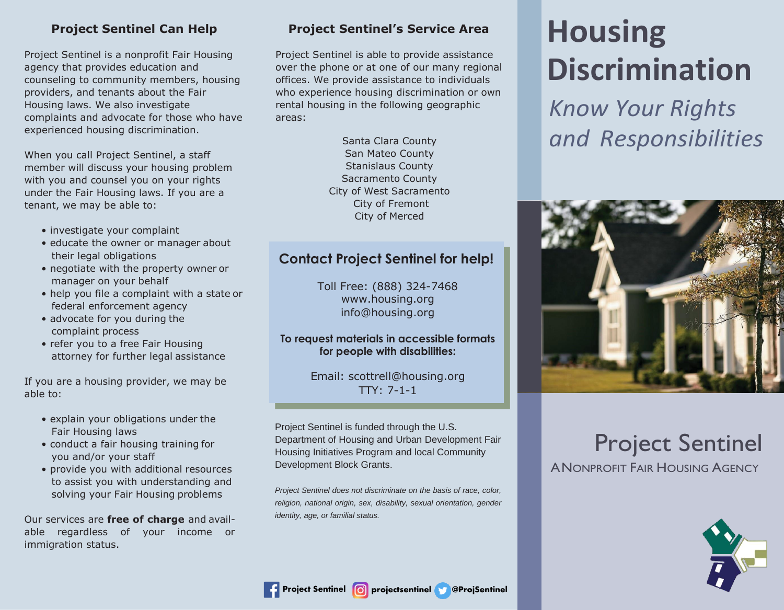## **Project Sentinel Can Help**

Project Sentinel is a nonprofit Fair Housing agency that provides education and counseling to community members, housing providers, and tenants about the Fair Housing laws. We also investigate complaints and advocate for those who have experienced housing discrimination.

When you call Project Sentinel, a staff member will discuss your housing problem with you and counsel you on your rights under the Fair Housing laws. If you are a tenant, we may be able to:

- investigate your complaint
- educate the owner or manager about their legal obligations
- negotiate with the property owner or manager on your behalf
- help you file a complaint with a state or federal enforcement agency
- advocate for you during the complaint process
- refer you to a free Fair Housing attorney for further legal assistance

If you are a housing provider, we may be able to:

- explain your obligations under the Fair Housing laws
- conduct a fair housing training for you and/or your staff
- provide you with additional resources to assist you with understanding and solving your Fair Housing problems

Our services are **free of charge** and available regardless of your income or immigration status.

## **Project Sentinel's Service Area**

Project Sentinel is able to provide assistance over the phone or at one of our many regional offices. We provide assistance to individuals who experience housing discrimination or own rental housing in the following geographic areas:

> Santa Clara County San Mateo County Stanislaus County Sacramento County City of West Sacramento City of Fremont City of Merced

# **Contact Project Sentinel for help!**

Toll Free: (888) 324-7468 [www.housing.org](http://www.housing.org/) [info@housing.org](mailto:info@housing.org)

#### **To request materials in accessible formats for people with disabilities:**

Email: [scottrell@housing.org](mailto:scottrell@housing.org)  $TTY: 7-1-1$ 

Project Sentinel is funded through the U.S. Department of Housing and Urban Development Fair Housing Initiatives Program and local Community Development Block Grants.

*Project Sentinel does not discriminate on the basis of race, color, religion, national origin, sex, disability, sexual orientation, gender identity, age, or familial status.*

# **Housing Discrimination**

*Know Your Rights and Responsibilities*



# Project Sentinel

A NONPROFIT FAIR HOUSING AGENCY